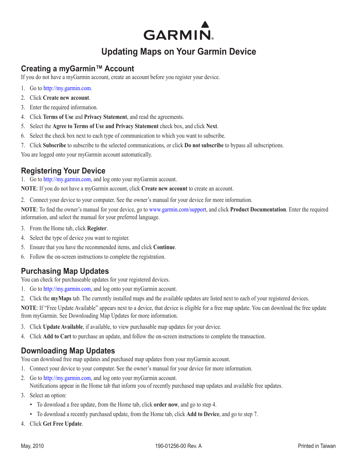# **GARMIN.**

# **Updating Maps on Your Garmin Device**

#### **Creating a myGarmin™ Account**

If you do not have a myGarmin account, create an account before you register your device.

- 1. Go to<http://my.garmin.com>.
- 2. Click **Create new account**.
- 3. Enter the required information.
- 4. Click **Terms of Use** and **Privacy Statement**, and read the agreements.
- 5. Select the **Agree to Terms of Use and Privacy Statement** check box, and click **Next**.
- 6. Select the check box next to each type of communication to which you want to subscribe.
- 7. Click **Subscribe** to subscribe to the selected communications, or click **Do not subscribe** to bypass all subscriptions.

You are logged onto your myGarmin account automatically.

### **Registering Your Device**

1. Go to<http://my.garmin.com>, and log onto your myGarmin account.

**NOTE:** If you do not have a myGarmin account, click **Create new account** to create an account.

2. Connect your device to your computer. See the owner's manual for your device for more information.

**NOTE**: To find the owner's manual for your device, go to [www.garmin.com/support,](www.garmin.com/support) and click **Product Documentation**. Enter the required information, and select the manual for your preferred language.

- 3. From the Home tab, click **Register**.
- 4. Select the type of device you want to register.
- 5. Ensure that you have the recommended items, and click **Continue**.
- 6. Follow the on-screen instructions to complete the registration.

#### **Purchasing Map Updates**

You can check for purchaseable updates for your registered devices.

- 1. Go to<http://my.garmin.com>, and log onto your myGarmin account.
- 2. Click the **myMaps** tab. The currently installed maps and the available updates are listed next to each of your registered devices.

**NOTE**: If "Free Update Available" appears next to a device, that device is eligible for a free map update. You can download the free update from myGarmin. See Downloading Map Updates for more information.

- 3. Click **Update Available**, if available, to view purchasable map updates for your device.
- 4. Click **Add to Cart** to purchase an update, and follow the on-screen instructions to complete the transaction.

## <span id="page-0-0"></span>**Downloading Map Updates**

You can download free map updates and purchased map updates from your myGarmin account.

- 1. Connect your device to your computer. See the owner's manual for your device for more information.
- 2. Go to<http://my.garmin.com>, and log onto your myGarmin account.

Notifications appear in the Home tab that inform you of recently purchased map updates and available free updates.

- 3. Select an option:
	- To download a free update, from the Home tab, click **order now**, and go to step 4.
	- To download a recently purchased update, from the Home tab, click **Add to Device**, and go to step 7. •
- 4. Click **Get Free Update**.